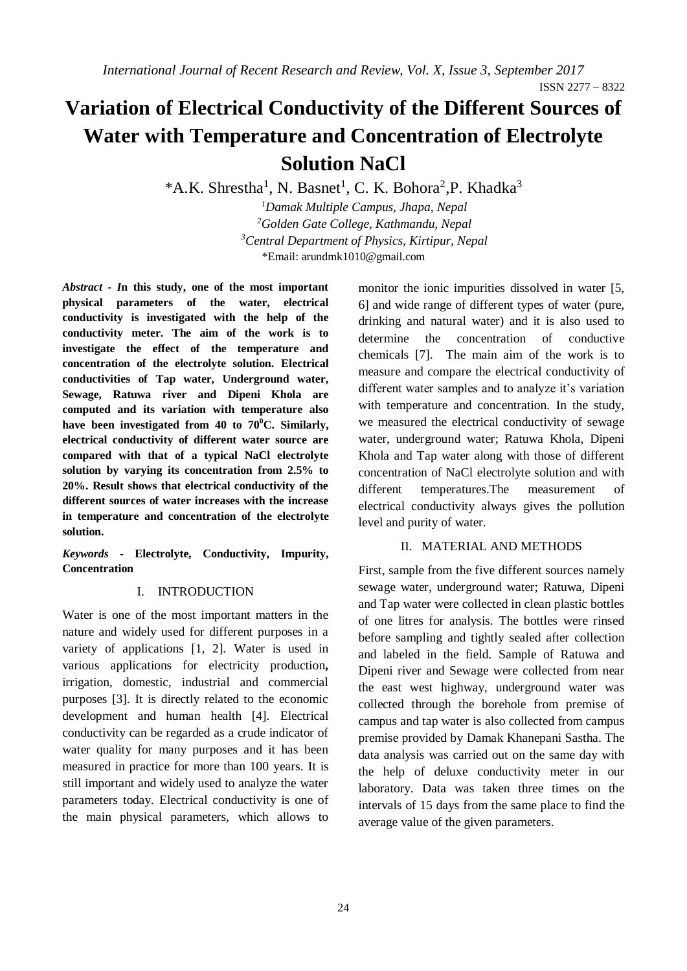ISSN 2277 – 8322

# **Variation of Electrical Conductivity of the Different Sources of Water with Temperature and Concentration of Electrolyte Solution NaCl**

\*A.K. Shrestha<sup>1</sup>, N. Basnet<sup>1</sup>, C. K. Bohora<sup>2</sup>, P. Khadka<sup>3</sup>

*Damak Multiple Campus, Jhapa, Nepal Golden Gate College, Kathmandu, Nepal Central Department of Physics, Kirtipur, Nepal* \*Email: [arundmk1010@gmail.com](mailto:arundmk1010@gmail.com)

*Abstract - I***n this study, one of the most important physical parameters of the water, electrical conductivity is investigated with the help of the conductivity meter. The aim of the work is to investigate the effect of the temperature and concentration of the electrolyte solution. Electrical conductivities of Tap water, Underground water, Sewage, Ratuwa river and Dipeni Khola are computed and its variation with temperature also have been investigated from 40 to 70<sup>0</sup>C. Similarly, electrical conductivity of different water source are compared with that of a typical NaCl electrolyte solution by varying its concentration from 2.5% to 20%. Result shows that electrical conductivity of the different sources of water increases with the increase in temperature and concentration of the electrolyte solution.**

*Keywords -* **Electrolyte, Conductivity, Impurity, Concentration**

# I. INTRODUCTION

Water is one of the most important matters in the nature and widely used for different purposes in a variety of applications [1, 2]. Water is used in various applications for electricity production**,** irrigation, domestic, industrial and commercial purposes [3]. It is directly related to the economic development and human health [4]. Electrical conductivity can be regarded as a crude indicator of water quality for many purposes and it has been measured in practice for more than 100 years. It is still important and widely used to analyze the water parameters today. Electrical conductivity is one of the main physical parameters, which allows to

monitor the ionic impurities dissolved in water [5, 6] and wide range of different types of water (pure, drinking and natural water) and it is also used to determine the concentration of conductive chemicals [7]. The main aim of the work is to measure and compare the electrical conductivity of different water samples and to analyze it's variation with temperature and concentration. In the study, we measured the electrical conductivity of sewage water, underground water; Ratuwa Khola, Dipeni Khola and Tap water along with those of different concentration of NaCl electrolyte solution and with different temperatures.The measurement of electrical conductivity always gives the pollution level and purity of water.

# II. MATERIAL AND METHODS

First, sample from the five different sources namely sewage water, underground water; Ratuwa, Dipeni and Tap water were collected in clean plastic bottles of one litres for analysis. The bottles were rinsed before sampling and tightly sealed after collection and labeled in the field. Sample of Ratuwa and Dipeni river and Sewage were collected from near the east west highway, underground water was collected through the borehole from premise of campus and tap water is also collected from campus premise provided by Damak Khanepani Sastha. The data analysis was carried out on the same day with the help of deluxe conductivity meter in our laboratory. Data was taken three times on the intervals of 15 days from the same place to find the average value of the given parameters.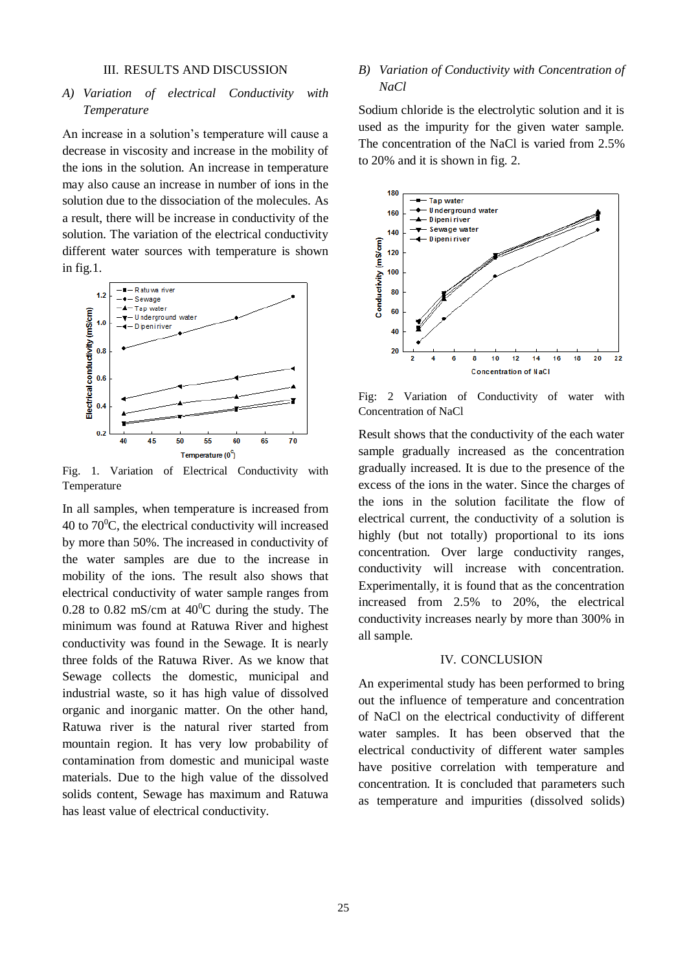#### III. RESULTS AND DISCUSSION

# *A) Variation of electrical Conductivity with Temperature*

An increase in a solution's temperature will cause a decrease in viscosity and increase in the mobility of the ions in the solution. An increase in temperature may also cause an increase in number of ions in the solution due to the dissociation of the molecules. As a result, there will be increase in conductivity of the solution. The variation of the electrical conductivity different water sources with temperature is shown in fig.1.



Fig. 1. Variation of Electrical Conductivity with Temperature

In all samples, when temperature is increased from 40 to  $70^{\circ}$ C, the electrical conductivity will increased by more than 50%. The increased in conductivity of the water samples are due to the increase in mobility of the ions. The result also shows that electrical conductivity of water sample ranges from 0.28 to 0.82 mS/cm at  $40^{\circ}$ C during the study. The minimum was found at Ratuwa River and highest conductivity was found in the Sewage. It is nearly three folds of the Ratuwa River. As we know that Sewage collects the domestic, municipal and industrial waste, so it has high value of dissolved organic and inorganic matter. On the other hand, Ratuwa river is the natural river started from mountain region. It has very low probability of contamination from domestic and municipal waste materials. Due to the high value of the dissolved solids content, Sewage has maximum and Ratuwa has least value of electrical conductivity.

# *B) Variation of Conductivity with Concentration of NaCl*

Sodium chloride is the electrolytic solution and it is used as the impurity for the given water sample. The concentration of the NaCl is varied from 2.5% to 20% and it is shown in fig. 2.



Fig: 2 Variation of Conductivity of water with Concentration of NaCl

Result shows that the conductivity of the each water sample gradually increased as the concentration gradually increased. It is due to the presence of the excess of the ions in the water. Since the charges of the ions in the solution facilitate the flow of electrical current, the conductivity of a solution is highly (but not totally) proportional to its ions concentration. Over large conductivity ranges, conductivity will increase with concentration. Experimentally, it is found that as the concentration increased from 2.5% to 20%, the electrical conductivity increases nearly by more than 300% in all sample.

#### IV. CONCLUSION

An experimental study has been performed to bring out the influence of temperature and concentration of NaCl on the electrical conductivity of different water samples. It has been observed that the electrical conductivity of different water samples have positive correlation with temperature and concentration. It is concluded that parameters such as temperature and impurities (dissolved solids)